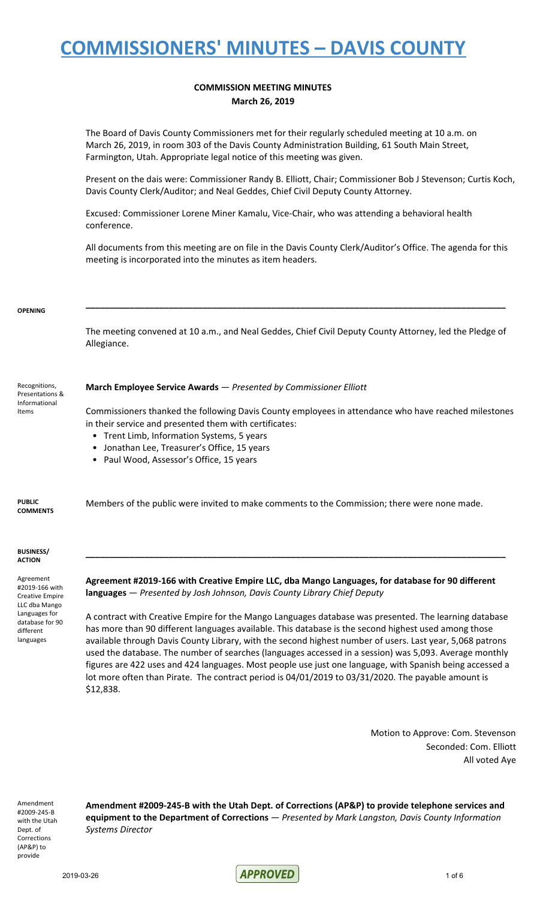### **COMMISSION MEETING MINUTES March 26, 2019**

The Board of Davis County Commissioners met for their regularly scheduled meeting at 10 a.m. on March 26, 2019, in room 303 of the Davis County Administration Building, 61 South Main Street, Farmington, Utah. Appropriate legal notice of this meeting was given.

Present on the dais were: Commissioner Randy B. Elliott, Chair; Commissioner Bob J Stevenson; Curtis Koch, Davis County Clerk/Auditor; and Neal Geddes, Chief Civil Deputy County Attorney.

Excused: Commissioner Lorene Miner Kamalu, Vice-Chair, who was attending a behavioral health conference.

All documents from this meeting are on file in the Davis County Clerk/Auditor's Office. The agenda for this meeting is incorporated into the minutes as item headers.

#### **OPENING**

The meeting convened at 10 a.m., and Neal Geddes, Chief Civil Deputy County Attorney, led the Pledge of Allegiance.

**\_\_\_\_\_\_\_\_\_\_\_\_\_\_\_\_\_\_\_\_\_\_\_\_\_\_\_\_\_\_\_\_\_\_\_\_\_\_\_\_\_\_\_\_\_\_\_\_\_\_\_\_\_\_\_\_\_\_\_\_\_\_\_\_\_\_\_\_\_\_\_\_\_\_\_\_\_\_\_\_\_\_\_\_\_\_**

Recognitions, Presentations & Informational Items

### **March Employee Service Awards** — *Presented by Commissioner Elliott*

Commissioners thanked the following Davis County employees in attendance who have reached milestones in their service and presented them with certificates:

- Trent Limb, Information Systems, 5 years
- Jonathan Lee, Treasurer's Office, 15 years
- Paul Wood, Assessor's Office, 15 years

**PUBLIC COMMENTS** Members of the public were invited to make comments to the Commission; there were none made.

#### **BUSINESS/ ACTION**

Agreement #2019-166 with Creative Empire LLC dba Mango Languages for database for 90 different languages

**Agreement #2019-166 with Creative Empire LLC, dba Mango Languages, for database for 90 different languages** — *Presented by Josh Johnson, Davis County Library Chief Deputy*

**\_\_\_\_\_\_\_\_\_\_\_\_\_\_\_\_\_\_\_\_\_\_\_\_\_\_\_\_\_\_\_\_\_\_\_\_\_\_\_\_\_\_\_\_\_\_\_\_\_\_\_\_\_\_\_\_\_\_\_\_\_\_\_\_\_\_\_\_\_\_\_\_\_\_\_\_\_\_\_\_\_\_\_\_\_\_**

A contract with Creative Empire for the Mango Languages database was presented. The learning database has more than 90 different languages available. This database is the second highest used among those available through Davis County Library, with the second highest number of users. Last year, 5,068 patrons used the database. The number of searches (languages accessed in a session) was 5,093. Average monthly figures are 422 uses and 424 languages. Most people use just one language, with Spanish being accessed a lot more often than Pirate. The contract period is 04/01/2019 to 03/31/2020. The payable amount is \$12,838.

> Motion to Approve: Com. Stevenson Seconded: Com. Elliott All voted Aye

Amendment #2009-245-B with the Utah Dept. of Corrections (AP&P) to provide

**Amendment #2009-245-B with the Utah Dept. of Corrections (AP&P) to provide telephone services and equipment to the Department of Corrections** — *Presented by Mark Langston, Davis County Information Systems Director*

2019-03-26 **APPROVED** 1 of 6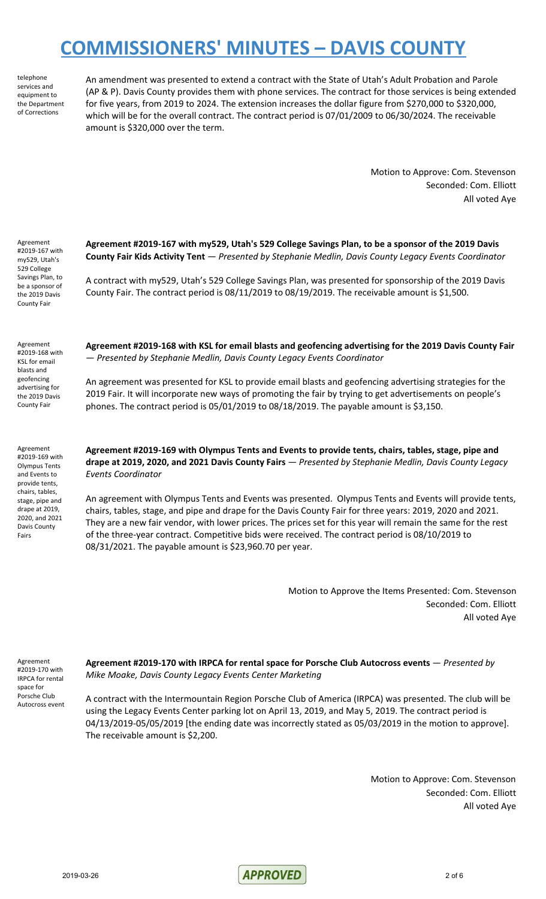telephone services and equipment to the Department of Corrections

An amendment was presented to extend a contract with the State of Utah's Adult Probation and Parole (AP & P). Davis County provides them with phone services. The contract for those services is being extended for five years, from 2019 to 2024. The extension increases the dollar figure from \$270,000 to \$320,000, which will be for the overall contract. The contract period is 07/01/2009 to 06/30/2024. The receivable amount is \$320,000 over the term.

> Motion to Approve: Com. Stevenson Seconded: Com. Elliott All voted Aye

Agreement #2019-167 with my529, Utah's 529 College Savings Plan, to be a sponsor of the 2019 Davis County Fair

**Agreement #2019-167 with my529, Utah's 529 College Savings Plan, to be a sponsor of the 2019 Davis County Fair Kids Activity Tent** — *Presented by Stephanie Medlin, Davis County Legacy Events Coordinator*

A contract with my529, Utah's 529 College Savings Plan, was presented for sponsorship of the 2019 Davis County Fair. The contract period is 08/11/2019 to 08/19/2019. The receivable amount is \$1,500.

Agreement #2019-168 with KSL for email blasts and geofencing advertising for the 2019 Davis County Fair

Agreement #2019-169 with Olympus Tents and Events to provide tents, chairs, tables, stage, pipe and drape at 2019, 2020, and 2021 Davis County Fairs

**Agreement #2019-168 with KSL for email blasts and geofencing advertising for the 2019 Davis County Fair** — *Presented by Stephanie Medlin, Davis County Legacy Events Coordinator*

An agreement was presented for KSL to provide email blasts and geofencing advertising strategies for the 2019 Fair. It will incorporate new ways of promoting the fair by trying to get advertisements on people's phones. The contract period is 05/01/2019 to 08/18/2019. The payable amount is \$3,150.

**Agreement #2019-169 with Olympus Tents and Events to provide tents, chairs, tables, stage, pipe and drape at 2019, 2020, and 2021 Davis County Fairs** — *Presented by Stephanie Medlin, Davis County Legacy Events Coordinator*

An agreement with Olympus Tents and Events was presented. Olympus Tents and Events will provide tents, chairs, tables, stage, and pipe and drape for the Davis County Fair for three years: 2019, 2020 and 2021. They are a new fair vendor, with lower prices. The prices set for this year will remain the same for the rest of the three-year contract. Competitive bids were received. The contract period is 08/10/2019 to 08/31/2021. The payable amount is \$23,960.70 per year.

> Motion to Approve the Items Presented: Com. Stevenson Seconded: Com. Elliott All voted Aye

Agreement #2019-170 with IRPCA for rental space for Porsche Club Autocross event **Agreement #2019-170 with IRPCA for rental space for Porsche Club Autocross events** — *Presented by Mike Moake, Davis County Legacy Events Center Marketing*

A contract with the Intermountain Region Porsche Club of America (IRPCA) was presented. The club will be using the Legacy Events Center parking lot on April 13, 2019, and May 5, 2019. The contract period is 04/13/2019-05/05/2019 [the ending date was incorrectly stated as 05/03/2019 in the motion to approve]. The receivable amount is \$2,200.

> Motion to Approve: Com. Stevenson Seconded: Com. Elliott All voted Aye

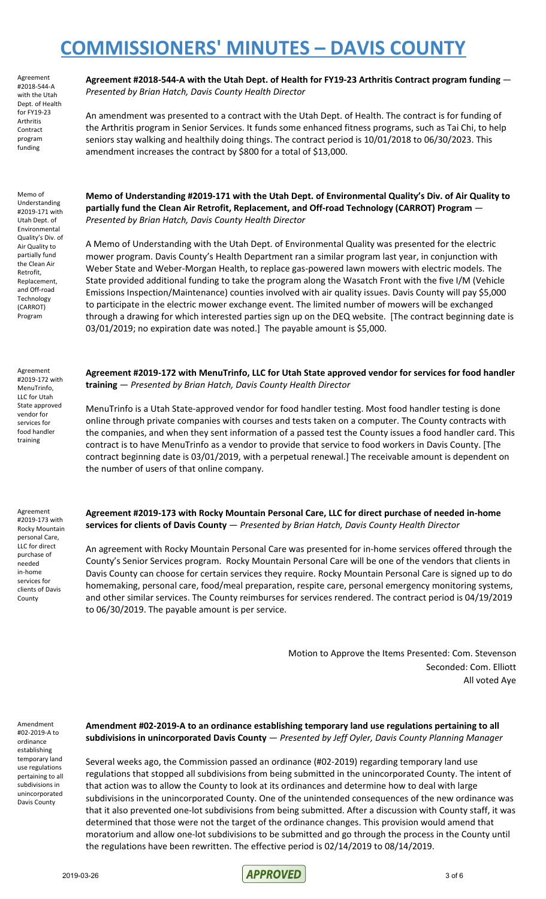Agreement #2018-544-A with the Utah Dept. of Health for FY19-23 **Arthritis** Contract program funding

Memo of Understanding #2019-171 with Utah Dept. of Environmental Quality's Div. of Air Quality to partially fund the Clean Air Retrofit, Replacement, and Off-road Technology (CARROT) Program

Agreement #2019-172 with MenuTrinfo, LLC for Utah State approved vendor for services for food handler training

**Agreement #2018-544-A with the Utah Dept. of Health for FY19-23 Arthritis Contract program funding** — *Presented by Brian Hatch, Davis County Health Director*

An amendment was presented to a contract with the Utah Dept. of Health. The contract is for funding of the Arthritis program in Senior Services. It funds some enhanced fitness programs, such as Tai Chi, to help seniors stay walking and healthily doing things. The contract period is 10/01/2018 to 06/30/2023. This amendment increases the contract by \$800 for a total of \$13,000.

**Memo of Understanding #2019-171 with the Utah Dept. of Environmental Quality's Div. of Air Quality to partially fund the Clean Air Retrofit, Replacement, and Off-road Technology (CARROT) Program** — *Presented by Brian Hatch, Davis County Health Director*

A Memo of Understanding with the Utah Dept. of Environmental Quality was presented for the electric mower program. Davis County's Health Department ran a similar program last year, in conjunction with Weber State and Weber-Morgan Health, to replace gas-powered lawn mowers with electric models. The State provided additional funding to take the program along the Wasatch Front with the five I/M (Vehicle Emissions Inspection/Maintenance) counties involved with air quality issues. Davis County will pay \$5,000 to participate in the electric mower exchange event. The limited number of mowers will be exchanged through a drawing for which interested parties sign up on the DEQ website. [The contract beginning date is 03/01/2019; no expiration date was noted.] The payable amount is \$5,000.

**Agreement #2019-172 with MenuTrinfo, LLC for Utah State approved vendor for services for food handler training** — *Presented by Brian Hatch, Davis County Health Director*

MenuTrinfo is a Utah State-approved vendor for food handler testing. Most food handler testing is done online through private companies with courses and tests taken on a computer. The County contracts with the companies, and when they sent information of a passed test the County issues a food handler card. This contract is to have MenuTrinfo as a vendor to provide that service to food workers in Davis County. [The contract beginning date is 03/01/2019, with a perpetual renewal.] The receivable amount is dependent on the number of users of that online company.

Agreement #2019-173 with Rocky Mountain personal Care, LLC for direct purchase of needed in-home services for clients of Davis County

**Agreement #2019-173 with Rocky Mountain Personal Care, LLC for direct purchase of needed in-home services for clients of Davis County** — *Presented by Brian Hatch, Davis County Health Director*

An agreement with Rocky Mountain Personal Care was presented for in-home services offered through the County's Senior Services program. Rocky Mountain Personal Care will be one of the vendors that clients in Davis County can choose for certain services they require. Rocky Mountain Personal Care is signed up to do homemaking, personal care, food/meal preparation, respite care, personal emergency monitoring systems, and other similar services. The County reimburses for services rendered. The contract period is 04/19/2019 to 06/30/2019. The payable amount is per service.

> Motion to Approve the Items Presented: Com. Stevenson Seconded: Com. Elliott All voted Aye

Amendment #02-2019-A to ordinance establishing temporary land use regulations pertaining to all subdivisions in unincorporated Davis County

### **Amendment #02-2019-A to an ordinance establishing temporary land use regulations pertaining to all subdivisions in unincorporated Davis County** — *Presented by Jeff Oyler, Davis County Planning Manager*

Several weeks ago, the Commission passed an ordinance (#02-2019) regarding temporary land use regulations that stopped all subdivisions from being submitted in the unincorporated County. The intent of that action was to allow the County to look at its ordinances and determine how to deal with large subdivisions in the unincorporated County. One of the unintended consequences of the new ordinance was that it also prevented one-lot subdivisions from being submitted. After a discussion with County staff, it was determined that those were not the target of the ordinance changes. This provision would amend that moratorium and allow one-lot subdivisions to be submitted and go through the process in the County until the regulations have been rewritten. The effective period is 02/14/2019 to 08/14/2019.

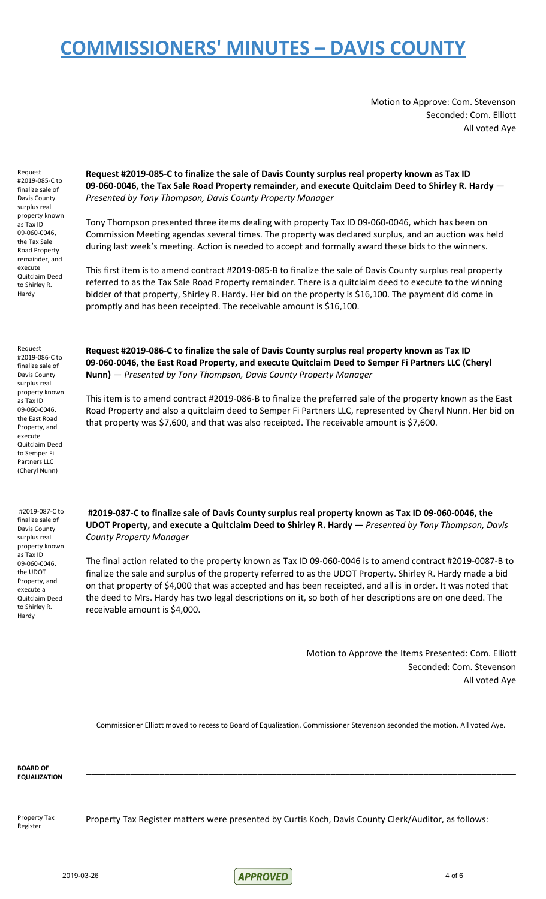Motion to Approve: Com. Stevenson Seconded: Com. Elliott All voted Aye

Request #2019-085-C to finalize sale of Davis County surplus real property known as Tax ID 09-060-0046, the Tax Sale Road Property remainder, and execute Quitclaim Deed to Shirley R. Hardy

**Request #2019-085-C to finalize the sale of Davis County surplus real property known as Tax ID 09-060-0046, the Tax Sale Road Property remainder, and execute Quitclaim Deed to Shirley R. Hardy** — *Presented by Tony Thompson, Davis County Property Manager*

Tony Thompson presented three items dealing with property Tax ID 09-060-0046, which has been on Commission Meeting agendas several times. The property was declared surplus, and an auction was held during last week's meeting. Action is needed to accept and formally award these bids to the winners.

This first item is to amend contract #2019-085-B to finalize the sale of Davis County surplus real property referred to as the Tax Sale Road Property remainder. There is a quitclaim deed to execute to the winning bidder of that property, Shirley R. Hardy. Her bid on the property is \$16,100. The payment did come in promptly and has been receipted. The receivable amount is \$16,100.

Request #2019-086-C to finalize sale of Davis County surplus real property known as Tax ID 09-060-0046, the East Road Property, and execute Quitclaim Deed to Semper Fi Partners LLC (Cheryl Nunn)

**Request #2019-086-C to finalize the sale of Davis County surplus real property known as Tax ID 09-060-0046, the East Road Property, and execute Quitclaim Deed to Semper Fi Partners LLC (Cheryl Nunn)** — *Presented by Tony Thompson, Davis County Property Manager*

This item is to amend contract #2019-086-B to finalize the preferred sale of the property known as the East Road Property and also a quitclaim deed to Semper Fi Partners LLC, represented by Cheryl Nunn. Her bid on that property was \$7,600, and that was also receipted. The receivable amount is \$7,600.

#2019-087-C to finalize sale of Davis County surplus real property known as Tax ID 09-060-0046, the UDOT Property, and execute a Quitclaim Deed to Shirley R. Hardy

**#2019-087-C to finalize sale of Davis County surplus real property known as Tax ID 09-060-0046, the UDOT Property, and execute a Quitclaim Deed to Shirley R. Hardy** — *Presented by Tony Thompson, Davis County Property Manager*

The final action related to the property known as Tax ID 09-060-0046 is to amend contract #2019-0087-B to finalize the sale and surplus of the property referred to as the UDOT Property. Shirley R. Hardy made a bid on that property of \$4,000 that was accepted and has been receipted, and all is in order. It was noted that the deed to Mrs. Hardy has two legal descriptions on it, so both of her descriptions are on one deed. The receivable amount is \$4,000.

> Motion to Approve the Items Presented: Com. Elliott Seconded: Com. Stevenson All voted Aye

Commissioner Elliott moved to recess to Board of Equalization. Commissioner Stevenson seconded the motion. All voted Aye.

**\_\_\_\_\_\_\_\_\_\_\_\_\_\_\_\_\_\_\_\_\_\_\_\_\_\_\_\_\_\_\_\_\_\_\_\_\_\_\_\_\_\_\_\_\_\_\_\_\_\_\_\_\_\_\_\_\_\_\_\_\_\_\_\_\_\_\_\_\_\_\_\_\_\_\_\_\_\_\_\_\_\_\_\_\_\_\_\_**

**BOARD OF EQUALIZATION**

Property Tax Register

Property Tax Register matters were presented by Curtis Koch, Davis County Clerk/Auditor, as follows:

2019-03-26 4 of 6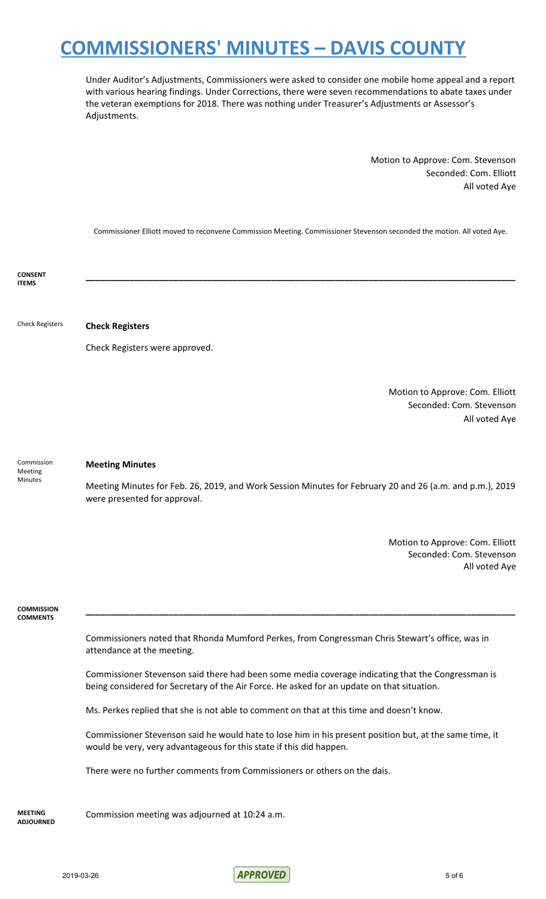Under Auditor's Adjustments, Commissioners were asked to consider one mobile home appeal and a report with various hearing findings. Under Corrections, there were seven recommendations to abate taxes under the veteran exemptions for 2018. There was nothing under Treasurer's Adjustments or Assessor's Adjustments.

> Motion to Approve: Com. Stevenson Seconded: Com. Elliott All voted Aye

Commissioner Elliott moved to reconvene Commission Meeting. Commissioner Stevenson seconded the motion. All voted Aye.

**\_\_\_\_\_\_\_\_\_\_\_\_\_\_\_\_\_\_\_\_\_\_\_\_\_\_\_\_\_\_\_\_\_\_\_\_\_\_\_\_\_\_\_\_\_\_\_\_\_\_\_\_\_\_\_\_\_\_\_\_\_\_\_\_\_\_\_\_\_\_\_\_\_\_\_\_\_\_\_\_\_\_\_\_\_\_\_\_**

**CONSENT ITEMS**

Check Registers **Check Registers**

Check Registers were approved.

Motion to Approve: Com. Elliott Seconded: Com. Stevenson All voted Aye

Commission Meeting Minutes

### **Meeting Minutes**

Meeting Minutes for Feb. 26, 2019, and Work Session Minutes for February 20 and 26 (a.m. and p.m.), 2019 were presented for approval.

> Motion to Approve: Com. Elliott Seconded: Com. Stevenson All voted Aye

**COMMISSION COMMENTS**

> Commissioners noted that Rhonda Mumford Perkes, from Congressman Chris Stewart's office, was in attendance at the meeting.

**\_\_\_\_\_\_\_\_\_\_\_\_\_\_\_\_\_\_\_\_\_\_\_\_\_\_\_\_\_\_\_\_\_\_\_\_\_\_\_\_\_\_\_\_\_\_\_\_\_\_\_\_\_\_\_\_\_\_\_\_\_\_\_\_\_\_\_\_\_\_\_\_\_\_\_\_\_\_\_\_\_\_\_\_\_\_\_\_**

Commissioner Stevenson said there had been some media coverage indicating that the Congressman is being considered for Secretary of the Air Force. He asked for an update on that situation.

Ms. Perkes replied that she is not able to comment on that at this time and doesn't know.

Commissioner Stevenson said he would hate to lose him in his present position but, at the same time, it would be very, very advantageous for this state if this did happen.

There were no further comments from Commissioners or others on the dais.

**MEETING ADJOURNED**

Commission meeting was adjourned at 10:24 a.m.

2019-03-26 5 of 6